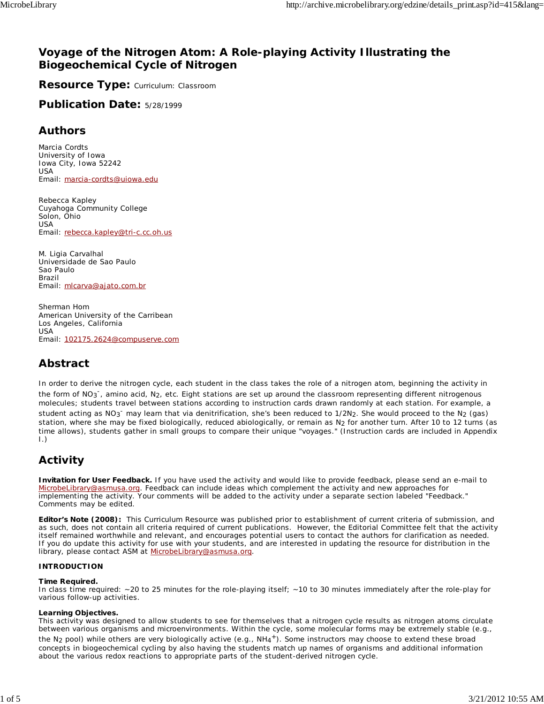# **Voyage of the Nitrogen Atom: A Role-playing Activity Illustrating the Biogeochemical Cycle of Nitrogen**

**Resource Type:** Curriculum: Classroom

**Publication Date:** 5/28/1999

# **Authors**

*Marcia Cordts* University of Iowa Iowa City, Iowa 52242 USA Email: marcia-cordts@uiowa.edu

*Rebecca Kapley* Cuyahoga Community College Solon, Ohio USA Email: rebecca.kapley@tri-c.cc.oh.us

*M. Ligia Carvalhal* Universidade de Sao Paulo Sao Paulo Brazil Email: mlcarva@ajato.com.br

*Sherman Hom* American University of the Carribean Los Angeles, California USA Email: 102175.2624@compuserve.com

# **Abstract**

In order to derive the nitrogen cycle, each student in the class takes the role of a nitrogen atom, beginning the activity in the form of NO<sub>3</sub><sup>-</sup>, amino acid, N<sub>2</sub>, etc. Eight stations are set up around the classroom representing different nitrogenous molecules; students travel between stations according to instruction cards drawn randomly at each station. For example, a student acting as NO<sub>3</sub><sup>-</sup> may learn that via denitrification, she's been reduced to 1/2N<sub>2</sub>. She would proceed to the N<sub>2</sub> (gas) station, where she may be fixed biologically, reduced abiologically, or remain as N<sub>2</sub> for another turn. After 10 to 12 turns (as time allows), students gather in small groups to compare their unique "voyages." (Instruction cards are included in Appendix I.)

# **Activity**

**Invitation for User Feedback.** If you have used the activity and would like to provide feedback, please send an e-mail to MicrobeLibrary@asmusa.org. Feedback can include ideas which complement the activity and new approaches for implementing the activity. Your comments will be added to the activity under a separate section labeled "Feedback." Comments may be edited.

**Editor's Note (2008):** This Curriculum Resource was published prior to establishment of current criteria of submission, and as such, does not contain all criteria required of current publications. However, the Editorial Committee felt that the activity itself remained worthwhile and relevant, and encourages potential users to contact the authors for clarification as needed. If you do update this activity for use with your students, and are interested in updating the resource for distribution in the library, please contact ASM at MicrobeLibrary@asmusa.org.

### **INTRODUCTION**

### **Time Required.**

In class time required: ~20 to 25 minutes for the role-playing itself; ~10 to 30 minutes immediately after the role-play for various follow-up activities.

### **Learning Objectives.**

This activity was designed to allow students to see for themselves that a nitrogen cycle results as nitrogen atoms circulate between various organisms and microenvironments. Within the cycle, some molecular forms may be extremely stable (e.g.,

the  $N_2$  pool) while others are very biologically active (e.g.,  $NH_4^+$ ). Some instructors may choose to extend these broad concepts in biogeochemical cycling by also having the students match up names of organisms and additional information about the various redox reactions to appropriate parts of the student-derived nitrogen cycle.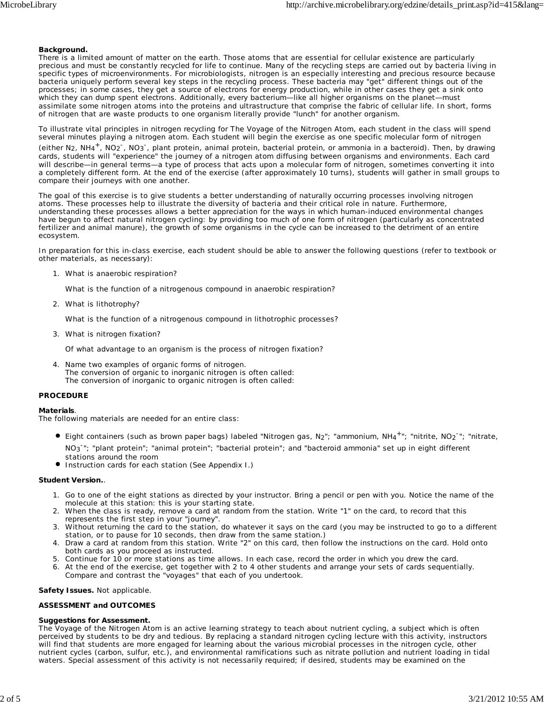#### **Background.**

There is a limited amount of matter on the earth. Those atoms that are essential for cellular existence are particularly precious and must be constantly recycled for life to continue. Many of the recycling steps are carried out by bacteria living in specific types of microenvironments. For microbiologists, nitrogen is an especially interesting and precious resource because bacteria uniquely perform several key steps in the recycling process. These bacteria may "get" different things out of the processes; in some cases, they get a source of electrons for energy production, while in other cases they get a sink onto which they can dump spent electrons. Additionally, every bacterium—like all higher organisms on the planet—must assimilate some nitrogen atoms into the proteins and ultrastructure that comprise the fabric of cellular life. In short, forms of nitrogen that are waste products to one organism literally provide "lunch" for another organism.

To illustrate vital principles in nitrogen recycling for *The Voyage of the Nitrogen Atom,* each student in the class will spend several minutes playing a nitrogen atom. Each student will begin the exercise as one specific molecular form of nitrogen

(either N<sub>2</sub>, NH<sub>4</sub><sup>+</sup>, NO<sub>2</sub><sup>-</sup>, NO<sub>3</sub><sup>-</sup>, plant protein, animal protein, bacterial protein, or ammonia in a bacteroid). Then, by drawing cards, students will "experience" the journey of a nitrogen atom diffusing between organisms and environments. Each card will describe—in general terms—a type of process that acts upon a molecular form of nitrogen, sometimes converting it into a completely different form. At the end of the exercise (after approximately 10 turns), students will gather in small groups to compare their journeys with one another.

The goal of this exercise is to give students a better understanding of naturally occurring processes involving nitrogen atoms. These processes help to illustrate the diversity of bacteria and their critical role in nature. Furthermore, understanding these processes allows a better appreciation for the ways in which human-induced environmental changes have begun to affect natural nitrogen cycling: by providing too much of one form of nitrogen (particularly as concentrated fertilizer and animal manure), the growth of some organisms in the cycle can be increased to the detriment of an entire ecosystem.

In preparation for this in-class exercise, each student should be able to answer the following questions (refer to textbook or other materials, as necessary):

What is anaerobic respiration? 1.

What is the function of a nitrogenous compound in anaerobic respiration?

What is lithotrophy? 2.

What is the function of a nitrogenous compound in lithotrophic processes?

What is nitrogen fixation? 3.

Of what advantage to an organism is the process of nitrogen fixation?

4. Name two examples of organic forms of nitrogen. The conversion of organic to inorganic nitrogen is often called: The conversion of inorganic to organic nitrogen is often called:

### **PROCEDURE**

#### **Materials**.

The following materials are needed for an entire class:

- Eight containers (such as brown paper bags) labeled "Nitrogen gas, N<sub>2</sub>"; "ammonium, NH<sub>4</sub><sup>+</sup>"; "nitrite, NO<sub>2</sub><sup>-</sup>"; "nitrate, NO<sub>3</sub><sup>-</sup>"; "plant protein"; "animal protein"; "bacterial protein"; and "bacteroid ammonia" set up in eight different stations around the room
- **Instruction cards for each station (See Appendix I.)**

#### **Student Version.**.

- 1. Go to one of the eight stations as directed by your instructor. Bring a pencil or pen with you. Notice the name of the molecule at this station: this is your starting state.
- When the class is ready, remove a card at random from the station. Write "1" on the card, to record that this 2. represents the first step in your "journey".
- 3. Without returning the card to the station, do whatever it says on the card (you may be instructed to go to a different station, or to pause for 10 seconds, then draw from the same station.)
- 4. Draw a card at random from this station. Write "2" on this card, then follow the instructions on the card. Hold onto both cards as you proceed as instructed.
- 5. Continue for 10 or more stations as time allows. In each case, record the order in which you drew the card.
- 6. At the end of the exercise, get together with 2 to 4 other students and arrange your sets of cards sequentially. Compare and contrast the "voyages" that each of you undertook.

**Safety Issues.** Not applicable.

### **ASSESSMENT and OUTCOMES**

#### **Suggestions for Assessment.**

*The Voyage of the Nitrogen Atom* is an active learning strategy to teach about nutrient cycling, a subject which is often perceived by students to be dry and tedious. By replacing a standard nitrogen cycling lecture with this activity, instructors will find that students are more engaged for learning about the various microbial processes in the nitrogen cycle, other nutrient cycles (carbon, sulfur, etc.), and environmental ramifications such as nitrate pollution and nutrient loading in tidal waters. Special assessment of this activity is not necessarily required; if desired, students may be examined on the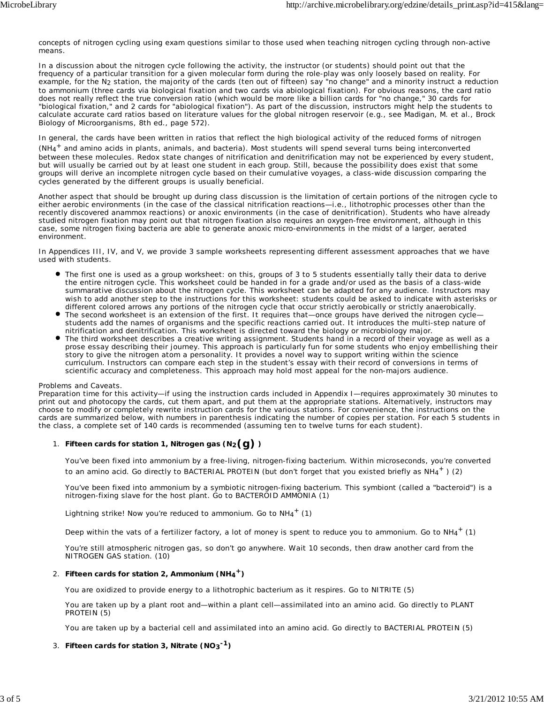concepts of nitrogen cycling using exam questions similar to those used when teaching nitrogen cycling through non-active means.

In a discussion about the nitrogen cycle following the activity, the instructor (or students) should point out that the frequency of a particular transition for a given molecular form during the role-play was only loosely based on reality. For example, for the N2 station, the majority of the cards (ten out of fifteen) say "no change" and a minority instruct a reduction to ammonium (three cards via biological fixation and two cards via abiological fixation). For obvious reasons, the card ratio does not really reflect the true conversion ratio (which would be more like a billion cards for "no change," 30 cards for "biological fixation," and 2 cards for "abiological fixation"). As part of the discussion, instructors might help the students to calculate accurate card ratios based on literature values for the global nitrogen reservoir (e.g., see Madigan, M. et al., Brock Biology of Microorganisms, 8th ed., page 572).

In general, the cards have been written in ratios that reflect the high biological activity of the reduced forms of nitrogen (NH4+ and amino acids in plants, animals, and bacteria). Most students will spend several turns being interconverted between these molecules. Redox state changes of nitrification and denitrification may not be experienced by every student, but will usually be carried out by at least one student in each group. Still, because the possibility does exist that some groups will derive an incomplete nitrogen cycle based on their cumulative voyages, a class-wide discussion comparing the cycles generated by the different groups is usually beneficial.

Another aspect that should be brought up during class discussion is the limitation of certain portions of the nitrogen cycle to either aerobic environments (in the case of the classical nitrification reactions—i.e., lithotrophic processes other than the recently discovered anammox reactions) or anoxic environments (in the case of denitrification). Students who have already studied nitrogen fixation may point out that nitrogen fixation also requires an oxygen-free environment, although in this case, some nitrogen fixing bacteria are able to generate anoxic micro-environments in the midst of a larger, aerated environment.

In Appendices III, IV, and V, we provide 3 sample worksheets representing different assessment approaches that we have used with students.

- The first one is used as a group worksheet: on this, groups of 3 to 5 students essentially tally their data to derive the entire nitrogen cycle. This worksheet could be handed in for a grade and/or used as the basis of a class-wide summarative discussion about the nitrogen cycle. This worksheet can be adapted for any audience. Instructors may wish to add another step to the instructions for this worksheet: students could be asked to indicate with asterisks or different colored arrows any portions of the nitrogen cycle that occur strictly aerobically or strictly anaerobically.
- The second worksheet is an extension of the first. It requires that—once groups have derived the nitrogen cycle students add the names of organisms and the specific reactions carried out. It introduces the multi-step nature of nitrification and denitrification. This worksheet is directed toward the biology or microbiology major.
- The third worksheet describes a creative writing assignment. Students hand in a record of their voyage as well as a prose essay describing their journey. This approach is particularly fun for some students who enjoy embellishing their story to give the nitrogen atom a personality. It provides a novel way to support writing within the science curriculum. Instructors can compare each step in the student's essay with their record of conversions in terms of scientific accuracy and completeness. This approach may hold most appeal for the non-majors audience.

### Problems and Caveats.

Preparation time for this activity—if using the instruction cards included in Appendix I—requires approximately 30 minutes to print out and photocopy the cards, cut them apart, and put them at the appropriate stations. Alternatively, instructors may choose to modify or completely rewrite instruction cards for the various stations. For convenience, the instructions on the cards are summarized below, with numbers in parenthesis indicating the number of copies per station. For each 5 students in the class, a complete set of 140 cards is recommended (assuming ten to twelve turns for each student).

## **Fifteen cards for station 1, Nitrogen gas (N2(g) )** 1.

You've been fixed into ammonium by a free-living, nitrogen-fixing bacterium. Within microseconds, you're converted to an amino acid. Go directly to BACTERIAL PROTEIN (but don't forget that you existed briefly as  $NH_4^+$  ) (2)

You've been fixed into ammonium by a symbiotic nitrogen-fixing bacterium. This symbiont (called a "bacteroid") is a nitrogen-fixing slave for the host plant. Go to BACTEROID AMMONIA (1)

Lightning strike! Now you're reduced to ammonium. Go to  $NH_4^+$  (1)

Deep within the vats of a fertilizer factory, a lot of money is spent to reduce you to ammonium. Go to  $NH_4^+$  (1)

You're still atmospheric nitrogen gas, so don't go anywhere. Wait 10 seconds, then draw another card from the NITROGEN GAS station. (10)

## 2. Fifteen cards for station 2, Ammonium (NH<sub>4</sub><sup>+</sup>)

You are oxidized to provide energy to a lithotrophic bacterium as it respires. Go to NITRITE (5)

You are taken up by a plant root and—within a plant cell—assimilated into an amino acid. Go directly to PLANT PROTEIN (5)

You are taken up by a bacterial cell and assimilated into an amino acid. Go directly to BACTERIAL PROTEIN (5)

### **Fifteen cards for station 3, Nitrate (NO3-1** 3. **)**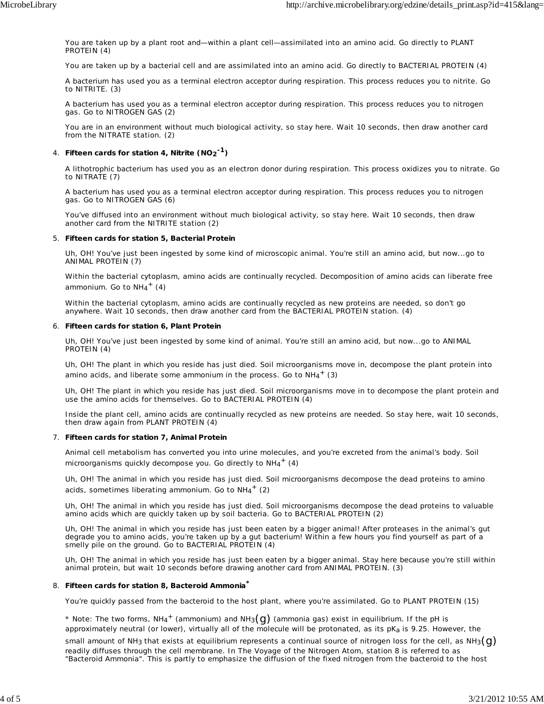You are taken up by a plant root and—within a plant cell—assimilated into an amino acid. Go directly to PLANT PROTEIN (4)

You are taken up by a bacterial cell and are assimilated into an amino acid. Go directly to BACTERIAL PROTEIN (4)

A bacterium has used you as a terminal electron acceptor during respiration. This process reduces you to nitrite. Go to NITRITE. (3)

A bacterium has used you as a terminal electron acceptor during respiration. This process reduces you to nitrogen gas. Go to NITROGEN GAS (2)

You are in an environment without much biological activity, so stay here. Wait 10 seconds, then draw another card from the NITRATE station. (2)

## **Fifteen cards for station 4, Nitrite (NO2-1)** 4.

A lithotrophic bacterium has used you as an electron donor during respiration. This process oxidizes you to nitrate. Go to NITRATE (7)

A bacterium has used you as a terminal electron acceptor during respiration. This process reduces you to nitrogen gas. Go to NITROGEN GAS (6)

You've diffused into an environment without much biological activity, so stay here. Wait 10 seconds, then draw another card from the NITRITE station (2)

### **Fifteen cards for station 5, Bacterial Protein** 5.

Uh, OH! You've just been ingested by some kind of microscopic animal. You're still an amino acid, but now...go to ANIMAL PROTEIN (7)

Within the bacterial cytoplasm, amino acids are continually recycled. Decomposition of amino acids can liberate free ammonium. Go to  $NH_4^+$  (4)

Within the bacterial cytoplasm, amino acids are continually recycled as new proteins are needed, so don't go anywhere. Wait 10 seconds, then draw another card from the BACTERIAL PROTEIN station. (4)

### **Fifteen cards for station 6, Plant Protein** 6.

Uh, OH! You've just been ingested by some kind of animal. You're still an amino acid, but now...go to ANIMAL PROTEIN (4)

Uh, OH! The plant in which you reside has just died. Soil microorganisms move in, decompose the plant protein into amino acids, and liberate some ammonium in the process. Go to  $NH_4^+$  (3)

Uh, OH! The plant in which you reside has just died. Soil microorganisms move in to decompose the plant protein and use the amino acids for themselves. Go to BACTERIAL PROTEIN (4)

Inside the plant cell, amino acids are continually recycled as new proteins are needed. So stay here, wait 10 seconds, then draw again from PLANT PROTEIN (4)

### **Fifteen cards for station 7, Animal Protein** 7.

Animal cell metabolism has converted you into urine molecules, and you're excreted from the animal's body. Soil microorganisms quickly decompose you. Go directly to  $NH_4^+$  (4)

Uh, OH! The animal in which you reside has just died. Soil microorganisms decompose the dead proteins to amino acids, sometimes liberating ammonium. Go to  $NH_4$ <sup>+</sup> (2)

Uh, OH! The animal in which you reside has just died. Soil microorganisms decompose the dead proteins to valuable amino acids which are quickly taken up by soil bacteria. Go to BACTERIAL PROTEIN (2)

Uh, OH! The animal in which you reside has just been eaten by a bigger animal! After proteases in the animal's gut degrade you to amino acids, you're taken up by a gut bacterium! Within a few hours you find yourself as part of a smelly pile on the ground. Go to BACTERIAL PROTEIN (4)

Uh, OH! The animal in which you reside has just been eaten by a bigger animal. Stay here because you're still within animal protein, but wait 10 seconds before drawing another card from ANIMAL PROTEIN. (3)

## **Fifteen cards for station 8, Bacteroid Ammonia\*** 8.

You're quickly passed from the bacteroid to the host plant, where you're assimilated. Go to PLANT PROTEIN (15)

 $^*$  Note: The two forms, NH $_4^+$  (ammonium) and NH $_3(\mathrm{g})$  (ammonia gas) exist in equilibrium. If the pH is approximately neutral (or lower), virtually all of the molecule will be protonated, as its pK*a* is 9.25. However, the

small amount of NH3 that exists at equilibrium represents a continual source of nitrogen loss for the cell, as NH3 $(q)$ readily diffuses through the cell membrane. In *The Voyage of the Nitrogen Atom*, station 8 is referred to as "Bacteroid Ammonia". This is partly to emphasize the diffusion of the fixed nitrogen from the bacteroid to the host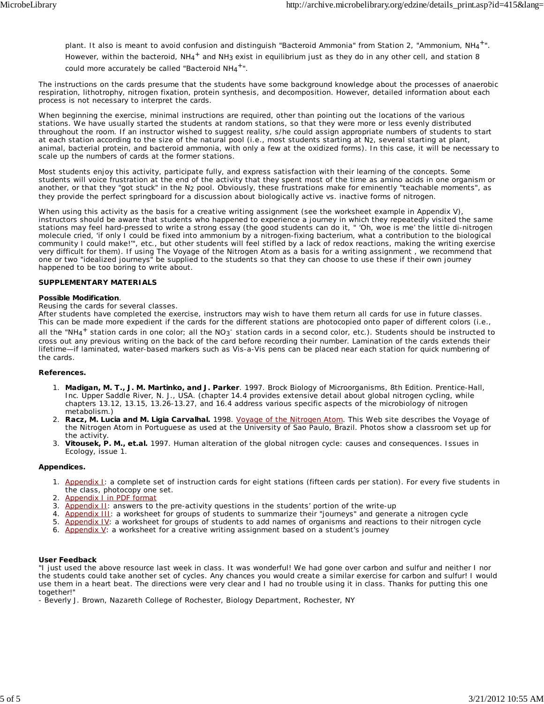plant. It also is meant to avoid confusion and distinguish "Bacteroid Ammonia" from Station 2, "Ammonium, NH4<sup>+</sup>". However, within the bacteroid,  $NH_4^+$  and NH<sub>3</sub> exist in equilibrium just as they do in any other cell, and station 8

could more accurately be called "Bacteroid NH4<sup>+</sup>".

The instructions on the cards presume that the students have some background knowledge about the processes of anaerobic respiration, lithotrophy, nitrogen fixation, protein synthesis, and decomposition. However, detailed information about each process is not necessary to interpret the cards.

When beginning the exercise, minimal instructions are required, other than pointing out the locations of the various stations. We have usually started the students at random stations, so that they were more or less evenly distributed throughout the room. If an instructor wished to suggest reality, s/he could assign appropriate numbers of students to start at each station according to the size of the natural pool (i.e., most students starting at N2, several starting at plant, animal, bacterial protein, and bacteroid ammonia, with only a few at the oxidized forms). In this case, it will be necessary to scale up the numbers of cards at the former stations.

Most students enjoy this activity, participate fully, and express satisfaction with their learning of the concepts. Some students will voice frustration at the end of the activity that they spent most of the time as amino acids in one organism or another, or that they "got stuck" in the N<sub>2</sub> pool. Obviously, these frustrations make for eminently "teachable moments", as they provide the perfect springboard for a discussion about biologically active vs. inactive forms of nitrogen.

When using this activity as the basis for a creative writing assignment (see the worksheet example in Appendix V), instructors should be aware that students who happened to experience a journey in which they repeatedly visited the same stations may feel hard-pressed to write a strong essay (the good students can do it, " 'Oh, woe is me' the little di-nitrogen molecule cried, 'if only I could be fixed into ammonium by a nitrogen-fixing bacterium, what a contribution to the biological community I could make!'", etc., but other students will feel stifled by a lack of redox reactions, making the writing exercise very difficult for them). If using *The Voyage of the Nitrogen Atom* as a basis for a writing assignment , we recommend that one or two "idealized journeys" be supplied to the students so that they can choose to use these if their own journey happened to be too boring to write about.

### **SUPPLEMENTARY MATERIALS**

### **Possible Modification**.

### *Reusing the cards for several classes.*

After students have completed the exercise, instructors may wish to have them return all cards for use in future classes. This can be made more expedient if the cards for the different stations are photocopied onto paper of different colors (i.e.,

all the "NH<sub>4</sub><sup>+</sup> station cards in one color; all the NO<sub>3</sub><sup>-</sup> station cards in a second color, etc.). Students should be instructed to cross out any previous writing on the back of the card before recording their number. Lamination of the cards extends their lifetime—if laminated, water-based markers such as Vis-a-Vis pens can be placed near each station for quick numbering of the cards.

### **References.**

- **Madigan, M. T., J. M. Martinko, and J. Parker**. 1997*.* Brock Biology of Microorganisms*,* 8th Edition. Prentice-Hall, 1. Inc. Upper Saddle River, N. J., USA. (chapter 14.4 provides extensive detail about global nitrogen cycling, while chapters 13.12, 13.15, 13.26-13.27, and 16.4 address various specific aspects of the microbiology of nitrogen metabolism.)
- **Racz, M. Lucia and M. Ligia Carvalhal.** 1998. *Voyage of the Nitrogen Atom*. This Web site describes the *Voyage of* 2. *the Nitrogen Atom* in Portuguese as used at the University of Sao Paulo, Brazil. Photos show a classroom set up for the activity.
- **Vitousek, P. M., et.al.** 1997. Human alteration of the global nitrogen cycle: causes and consequences. *Issues in* 3. *Ecology*, issue 1.

### **Appendices.**

- 1. Appendix I: a complete set of instruction cards for eight stations (fifteen cards per station). For every five students in the class, photocopy one set.
- 2. Appendix I in PDF format
- 3. Appendix II: answers to the pre-activity questions in the students' portion of the write-up
- 4. Appendix III: a worksheet for groups of students to summarize their "journeys" and generate a nitrogen cycle
- 5. Appendix IV: a worksheet for groups of students to add names of organisms and reactions to their nitrogen cycle
- 6. Appendix  $V:$  a worksheet for a creative writing assignment based on a student's journey

### **User Feedback**

"I just used the above resource last week in class. It was wonderful! We had gone over carbon and sulfur and neither I nor the students could take another set of cycles. Any chances you would create a similar exercise for carbon and sulfur! I would use them in a heart beat. The directions were very clear and I had no trouble using it in class. Thanks for putting this one together!"

- Beverly J. Brown, Nazareth College of Rochester, Biology Department, Rochester, NY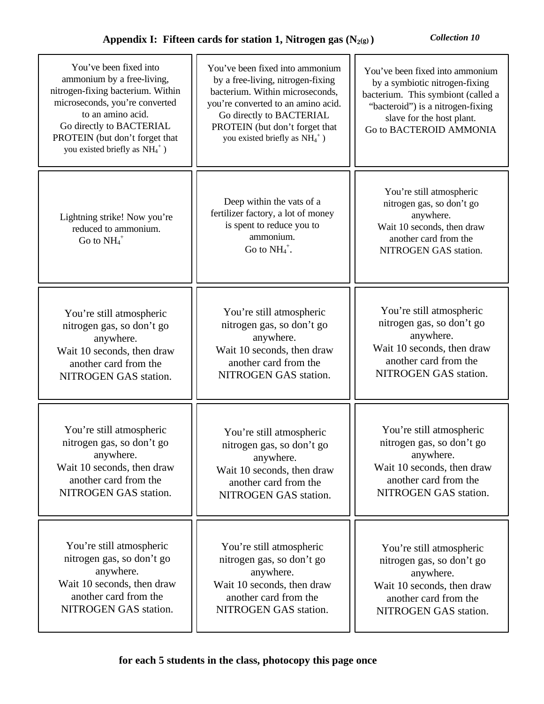| You've been fixed into<br>ammonium by a free-living,<br>nitrogen-fixing bacterium. Within<br>microseconds, you're converted<br>to an amino acid.<br>Go directly to BACTERIAL<br>PROTEIN (but don't forget that<br>you existed briefly as $NH_4$ <sup>+</sup> ) | You've been fixed into ammonium<br>by a free-living, nitrogen-fixing<br>bacterium. Within microseconds,<br>you're converted to an amino acid.<br>Go directly to BACTERIAL<br>PROTEIN (but don't forget that<br>you existed briefly as $NH_4$ <sup>+</sup> ) | You've been fixed into ammonium<br>by a symbiotic nitrogen-fixing<br>bacterium. This symbiont (called a<br>"bacteroid") is a nitrogen-fixing<br>slave for the host plant.<br>Go to BACTEROID AMMONIA |
|----------------------------------------------------------------------------------------------------------------------------------------------------------------------------------------------------------------------------------------------------------------|-------------------------------------------------------------------------------------------------------------------------------------------------------------------------------------------------------------------------------------------------------------|------------------------------------------------------------------------------------------------------------------------------------------------------------------------------------------------------|
| Lightning strike! Now you're<br>reduced to ammonium.<br>Go to $NH_4$ <sup>+</sup>                                                                                                                                                                              | Deep within the vats of a<br>fertilizer factory, a lot of money<br>is spent to reduce you to<br>ammonium.<br>Go to $NH_4^+$ .                                                                                                                               | You're still atmospheric<br>nitrogen gas, so don't go<br>anywhere.<br>Wait 10 seconds, then draw<br>another card from the<br>NITROGEN GAS station.                                                   |
| You're still atmospheric                                                                                                                                                                                                                                       | You're still atmospheric                                                                                                                                                                                                                                    | You're still atmospheric                                                                                                                                                                             |
| nitrogen gas, so don't go                                                                                                                                                                                                                                      | nitrogen gas, so don't go                                                                                                                                                                                                                                   | nitrogen gas, so don't go                                                                                                                                                                            |
| anywhere.                                                                                                                                                                                                                                                      | anywhere.                                                                                                                                                                                                                                                   | anywhere.                                                                                                                                                                                            |
| Wait 10 seconds, then draw                                                                                                                                                                                                                                     | Wait 10 seconds, then draw                                                                                                                                                                                                                                  | Wait 10 seconds, then draw                                                                                                                                                                           |
| another card from the                                                                                                                                                                                                                                          | another card from the                                                                                                                                                                                                                                       | another card from the                                                                                                                                                                                |
| NITROGEN GAS station.                                                                                                                                                                                                                                          | NITROGEN GAS station.                                                                                                                                                                                                                                       | NITROGEN GAS station.                                                                                                                                                                                |
| You're still atmospheric                                                                                                                                                                                                                                       | You're still atmospheric                                                                                                                                                                                                                                    | You're still atmospheric                                                                                                                                                                             |
| nitrogen gas, so don't go                                                                                                                                                                                                                                      | nitrogen gas, so don't go                                                                                                                                                                                                                                   | nitrogen gas, so don't go                                                                                                                                                                            |
| anywhere.                                                                                                                                                                                                                                                      | anywhere.                                                                                                                                                                                                                                                   | anywhere.                                                                                                                                                                                            |
| Wait 10 seconds, then draw                                                                                                                                                                                                                                     | Wait 10 seconds, then draw                                                                                                                                                                                                                                  | Wait 10 seconds, then draw                                                                                                                                                                           |
| another card from the                                                                                                                                                                                                                                          | another card from the                                                                                                                                                                                                                                       | another card from the                                                                                                                                                                                |
| NITROGEN GAS station.                                                                                                                                                                                                                                          | NITROGEN GAS station.                                                                                                                                                                                                                                       | NITROGEN GAS station.                                                                                                                                                                                |
| You're still atmospheric                                                                                                                                                                                                                                       | You're still atmospheric                                                                                                                                                                                                                                    | You're still atmospheric                                                                                                                                                                             |
| nitrogen gas, so don't go                                                                                                                                                                                                                                      | nitrogen gas, so don't go                                                                                                                                                                                                                                   | nitrogen gas, so don't go                                                                                                                                                                            |
| anywhere.                                                                                                                                                                                                                                                      | anywhere.                                                                                                                                                                                                                                                   | anywhere.                                                                                                                                                                                            |
| Wait 10 seconds, then draw                                                                                                                                                                                                                                     | Wait 10 seconds, then draw                                                                                                                                                                                                                                  | Wait 10 seconds, then draw                                                                                                                                                                           |
| another card from the                                                                                                                                                                                                                                          | another card from the                                                                                                                                                                                                                                       | another card from the                                                                                                                                                                                |
| NITROGEN GAS station.                                                                                                                                                                                                                                          | NITROGEN GAS station.                                                                                                                                                                                                                                       | NITROGEN GAS station.                                                                                                                                                                                |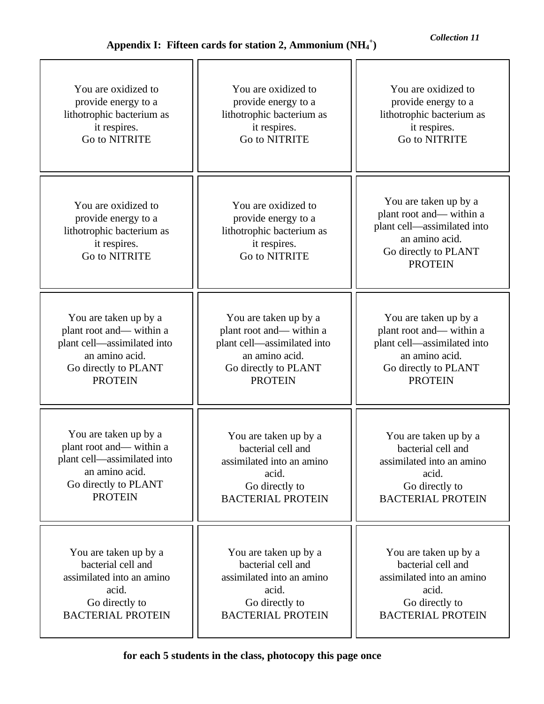| You are oxidized to                                                                                      | You are oxidized to                                                                                      | You are oxidized to                                                                                                                         |
|----------------------------------------------------------------------------------------------------------|----------------------------------------------------------------------------------------------------------|---------------------------------------------------------------------------------------------------------------------------------------------|
| provide energy to a                                                                                      | provide energy to a                                                                                      | provide energy to a                                                                                                                         |
| lithotrophic bacterium as                                                                                | lithotrophic bacterium as                                                                                | lithotrophic bacterium as                                                                                                                   |
| it respires.                                                                                             | it respires.                                                                                             | it respires.                                                                                                                                |
| Go to NITRITE                                                                                            | Go to NITRITE                                                                                            | Go to NITRITE                                                                                                                               |
| You are oxidized to<br>provide energy to a<br>lithotrophic bacterium as<br>it respires.<br>Go to NITRITE | You are oxidized to<br>provide energy to a<br>lithotrophic bacterium as<br>it respires.<br>Go to NITRITE | You are taken up by a<br>plant root and—within a<br>plant cell-assimilated into<br>an amino acid.<br>Go directly to PLANT<br><b>PROTEIN</b> |
| You are taken up by a                                                                                    | You are taken up by a                                                                                    | You are taken up by a                                                                                                                       |
| plant root and—within a                                                                                  | plant root and—within a                                                                                  | plant root and— within a                                                                                                                    |
| plant cell—assimilated into                                                                              | plant cell—assimilated into                                                                              | plant cell—assimilated into                                                                                                                 |
| an amino acid.                                                                                           | an amino acid.                                                                                           | an amino acid.                                                                                                                              |
| Go directly to PLANT                                                                                     | Go directly to PLANT                                                                                     | Go directly to PLANT                                                                                                                        |
| <b>PROTEIN</b>                                                                                           | <b>PROTEIN</b>                                                                                           | <b>PROTEIN</b>                                                                                                                              |
| You are taken up by a                                                                                    | You are taken up by a                                                                                    | You are taken up by a                                                                                                                       |
| plant root and—within a                                                                                  | bacterial cell and                                                                                       | bacterial cell and                                                                                                                          |
| plant cell-assimilated into                                                                              | assimilated into an amino                                                                                | assimilated into an amino                                                                                                                   |
| an amino acid.                                                                                           | acid.                                                                                                    | acid.                                                                                                                                       |
| Go directly to PLANT                                                                                     | Go directly to                                                                                           | Go directly to                                                                                                                              |
| <b>PROTEIN</b>                                                                                           | <b>BACTERIAL PROTEIN</b>                                                                                 | <b>BACTERIAL PROTEIN</b>                                                                                                                    |
| You are taken up by a                                                                                    | You are taken up by a                                                                                    | You are taken up by a                                                                                                                       |
| bacterial cell and                                                                                       | bacterial cell and                                                                                       | bacterial cell and                                                                                                                          |
| assimilated into an amino                                                                                | assimilated into an amino                                                                                | assimilated into an amino                                                                                                                   |
| acid.                                                                                                    | acid.                                                                                                    | acid.                                                                                                                                       |
| Go directly to                                                                                           | Go directly to                                                                                           | Go directly to                                                                                                                              |
| <b>BACTERIAL PROTEIN</b>                                                                                 | <b>BACTERIAL PROTEIN</b>                                                                                 | <b>BACTERIAL PROTEIN</b>                                                                                                                    |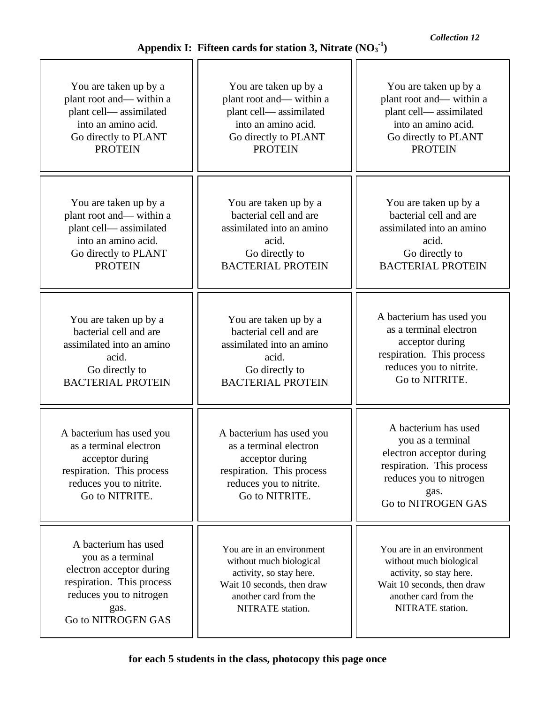| You are taken up by a<br>plant root and— within a<br>plant cell—assimilated<br>into an amino acid.<br>Go directly to PLANT<br><b>PROTEIN</b> | You are taken up by a<br>plant root and—within a<br>plant cell— assimilated<br>into an amino acid.<br>Go directly to PLANT<br><b>PROTEIN</b> | You are taken up by a<br>plant root and— within a<br>plant cell— assimilated<br>into an amino acid.<br>Go directly to PLANT<br><b>PROTEIN</b> |
|----------------------------------------------------------------------------------------------------------------------------------------------|----------------------------------------------------------------------------------------------------------------------------------------------|-----------------------------------------------------------------------------------------------------------------------------------------------|
|                                                                                                                                              |                                                                                                                                              |                                                                                                                                               |
|                                                                                                                                              |                                                                                                                                              |                                                                                                                                               |
| You are taken up by a                                                                                                                        | You are taken up by a                                                                                                                        | You are taken up by a                                                                                                                         |
| plant root and— within a                                                                                                                     | bacterial cell and are                                                                                                                       | bacterial cell and are                                                                                                                        |
| plant cell—assimilated                                                                                                                       | assimilated into an amino                                                                                                                    | assimilated into an amino                                                                                                                     |
| into an amino acid.                                                                                                                          | acid.                                                                                                                                        | acid.                                                                                                                                         |
| Go directly to PLANT                                                                                                                         | Go directly to                                                                                                                               | Go directly to                                                                                                                                |
| <b>PROTEIN</b>                                                                                                                               | <b>BACTERIAL PROTEIN</b>                                                                                                                     | <b>BACTERIAL PROTEIN</b>                                                                                                                      |
|                                                                                                                                              |                                                                                                                                              |                                                                                                                                               |

You are taken up by a bacterial cell and are assimilated into an amino acid. Go directly to BACTERIAL PROTEIN

A bacterium has used you as a terminal electron acceptor during respiration. This process reduces you to nitrite. Go to NITRITE.

A bacterium has used you as a terminal electron acceptor during respiration. This process reduces you to nitrogen gas. Go to NITROGEN GAS

You are taken up by a bacterial cell and are assimilated into an amino acid. Go directly to BACTERIAL PROTEIN

A bacterium has used you as a terminal electron acceptor during respiration. This process reduces you to nitrite. Go to NITRITE.

You are in an environment without much biological activity, so stay here. Wait 10 seconds, then draw another card from the NITRATE station.

You are in an environment without much biological activity, so stay here. Wait 10 seconds, then draw another card from the NITRATE station.

A bacterium has used you as a terminal electron acceptor during respiration. This process reduces you to nitrite. Go to NITRITE.

A bacterium has used you as a terminal electron acceptor during respiration. This process reduces you to nitrogen gas. Go to NITROGEN GAS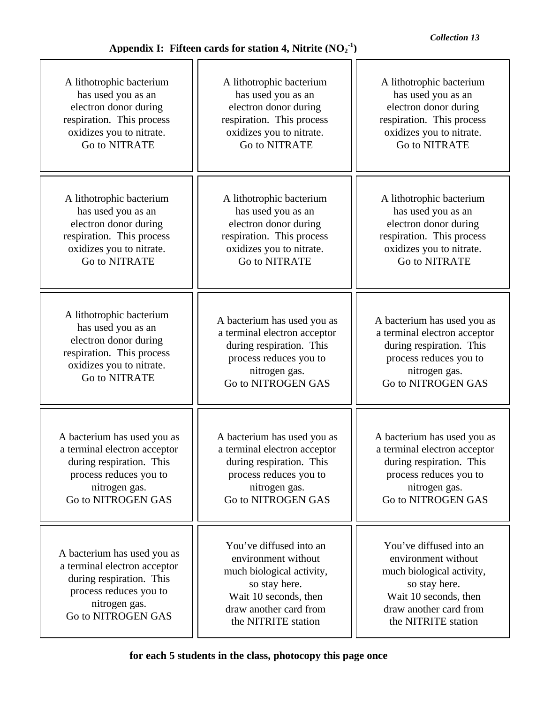| A lithotrophic bacterium                                                                                                                                 | A lithotrophic bacterium                                                                                                                                               | A lithotrophic bacterium                                                                                                                                               |
|----------------------------------------------------------------------------------------------------------------------------------------------------------|------------------------------------------------------------------------------------------------------------------------------------------------------------------------|------------------------------------------------------------------------------------------------------------------------------------------------------------------------|
| has used you as an                                                                                                                                       | has used you as an                                                                                                                                                     | has used you as an                                                                                                                                                     |
| electron donor during                                                                                                                                    | electron donor during                                                                                                                                                  | electron donor during                                                                                                                                                  |
| respiration. This process                                                                                                                                | respiration. This process                                                                                                                                              | respiration. This process                                                                                                                                              |
| oxidizes you to nitrate.                                                                                                                                 | oxidizes you to nitrate.                                                                                                                                               | oxidizes you to nitrate.                                                                                                                                               |
| Go to NITRATE                                                                                                                                            | Go to NITRATE                                                                                                                                                          | Go to NITRATE                                                                                                                                                          |
| A lithotrophic bacterium                                                                                                                                 | A lithotrophic bacterium                                                                                                                                               |                                                                                                                                                                        |
| has used you as an                                                                                                                                       | has used you as an                                                                                                                                                     |                                                                                                                                                                        |
| electron donor during                                                                                                                                    | electron donor during                                                                                                                                                  |                                                                                                                                                                        |
| respiration. This process                                                                                                                                | respiration. This process                                                                                                                                              |                                                                                                                                                                        |
| oxidizes you to nitrate.                                                                                                                                 | oxidizes you to nitrate.                                                                                                                                               |                                                                                                                                                                        |
| <b>Go to NITRATE</b>                                                                                                                                     | <b>Go to NITRATE</b>                                                                                                                                                   |                                                                                                                                                                        |
| A lithotrophic bacterium                                                                                                                                 | A bacterium has used you as                                                                                                                                            | A bacterium has used you as                                                                                                                                            |
| has used you as an                                                                                                                                       | a terminal electron acceptor                                                                                                                                           | a terminal electron acceptor                                                                                                                                           |
| electron donor during                                                                                                                                    | during respiration. This                                                                                                                                               | during respiration. This                                                                                                                                               |
| respiration. This process                                                                                                                                | process reduces you to                                                                                                                                                 | process reduces you to                                                                                                                                                 |
| oxidizes you to nitrate.                                                                                                                                 | nitrogen gas.                                                                                                                                                          | nitrogen gas.                                                                                                                                                          |
| Go to NITRATE                                                                                                                                            | Go to NITROGEN GAS                                                                                                                                                     | Go to NITROGEN GAS                                                                                                                                                     |
| A bacterium has used you as                                                                                                                              | A bacterium has used you as                                                                                                                                            | A bacterium has used you as                                                                                                                                            |
| a terminal electron acceptor                                                                                                                             | a terminal electron acceptor                                                                                                                                           | a terminal electron acceptor                                                                                                                                           |
| during respiration. This                                                                                                                                 | during respiration. This                                                                                                                                               | during respiration. This                                                                                                                                               |
| process reduces you to                                                                                                                                   | process reduces you to                                                                                                                                                 | process reduces you to                                                                                                                                                 |
| nitrogen gas.                                                                                                                                            | nitrogen gas.                                                                                                                                                          | nitrogen gas.                                                                                                                                                          |
| Go to NITROGEN GAS                                                                                                                                       | Go to NITROGEN GAS                                                                                                                                                     | Go to NITROGEN GAS                                                                                                                                                     |
| A bacterium has used you as<br>a terminal electron acceptor<br>during respiration. This<br>process reduces you to<br>nitrogen gas.<br>Go to NITROGEN GAS | You've diffused into an<br>environment without<br>much biological activity,<br>so stay here.<br>Wait 10 seconds, then<br>draw another card from<br>the NITRITE station | You've diffused into an<br>environment without<br>much biological activity,<br>so stay here.<br>Wait 10 seconds, then<br>draw another card from<br>the NITRITE station |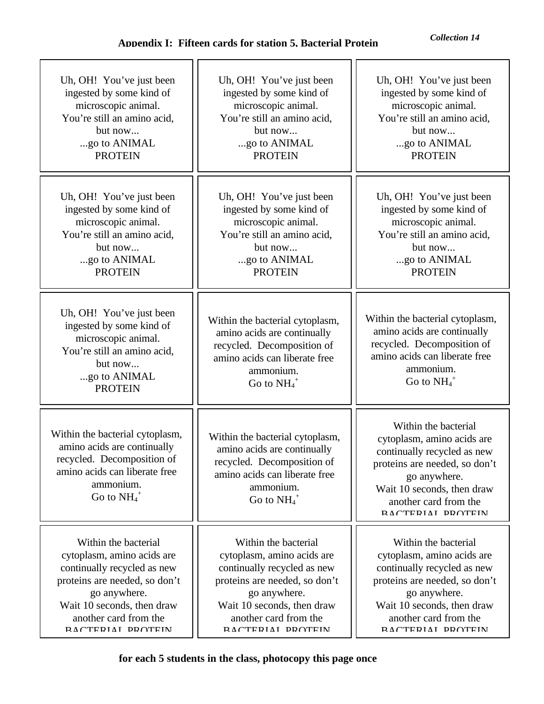| Uh, OH! You've just been                                                                                                                                                | Uh, OH! You've just been                                                                                                                                                | Uh, OH! You've just been                                                                                                                                                                                       |
|-------------------------------------------------------------------------------------------------------------------------------------------------------------------------|-------------------------------------------------------------------------------------------------------------------------------------------------------------------------|----------------------------------------------------------------------------------------------------------------------------------------------------------------------------------------------------------------|
| ingested by some kind of                                                                                                                                                | ingested by some kind of                                                                                                                                                | ingested by some kind of                                                                                                                                                                                       |
| microscopic animal.                                                                                                                                                     | microscopic animal.                                                                                                                                                     | microscopic animal.                                                                                                                                                                                            |
| You're still an amino acid,                                                                                                                                             | You're still an amino acid,                                                                                                                                             | You're still an amino acid,                                                                                                                                                                                    |
| but now                                                                                                                                                                 | but now                                                                                                                                                                 | but now                                                                                                                                                                                                        |
| go to ANIMAL                                                                                                                                                            | go to ANIMAL                                                                                                                                                            | go to ANIMAL                                                                                                                                                                                                   |
| <b>PROTEIN</b>                                                                                                                                                          | <b>PROTEIN</b>                                                                                                                                                          | <b>PROTEIN</b>                                                                                                                                                                                                 |
| Uh, OH! You've just been                                                                                                                                                | Uh, OH! You've just been                                                                                                                                                | Uh, OH! You've just been                                                                                                                                                                                       |
| ingested by some kind of                                                                                                                                                | ingested by some kind of                                                                                                                                                | ingested by some kind of                                                                                                                                                                                       |
| microscopic animal.                                                                                                                                                     | microscopic animal.                                                                                                                                                     | microscopic animal.                                                                                                                                                                                            |
| You're still an amino acid,                                                                                                                                             | You're still an amino acid,                                                                                                                                             | You're still an amino acid,                                                                                                                                                                                    |
| but now                                                                                                                                                                 | but now                                                                                                                                                                 | but now                                                                                                                                                                                                        |
| go to ANIMAL                                                                                                                                                            | go to ANIMAL                                                                                                                                                            | go to ANIMAL                                                                                                                                                                                                   |
| <b>PROTEIN</b>                                                                                                                                                          | <b>PROTEIN</b>                                                                                                                                                          | <b>PROTEIN</b>                                                                                                                                                                                                 |
| Uh, OH! You've just been<br>ingested by some kind of<br>microscopic animal.<br>You're still an amino acid,<br>but now<br>go to ANIMAL<br><b>PROTEIN</b>                 | Within the bacterial cytoplasm,<br>amino acids are continually<br>recycled. Decomposition of<br>amino acids can liberate free<br>ammonium.<br>Go to $NH_4$ <sup>+</sup> | Within the bacterial cytoplasm,<br>amino acids are continually<br>recycled. Decomposition of<br>amino acids can liberate free<br>ammonium.<br>Go to $NH_4^+$                                                   |
| Within the bacterial cytoplasm,<br>amino acids are continually<br>recycled. Decomposition of<br>amino acids can liberate free<br>ammonium.<br>Go to $NH_4$ <sup>+</sup> | Within the bacterial cytoplasm,<br>amino acids are continually<br>recycled. Decomposition of<br>amino acids can liberate free<br>ammonium.<br>Go to $NH_4$ <sup>+</sup> | Within the bacterial<br>cytoplasm, amino acids are<br>continually recycled as new<br>proteins are needed, so don't<br>go anywhere.<br>Wait 10 seconds, then draw<br>another card from the<br>RACTERIAI DROTEIN |
| Within the bacterial                                                                                                                                                    | Within the bacterial                                                                                                                                                    | Within the bacterial                                                                                                                                                                                           |
| cytoplasm, amino acids are                                                                                                                                              | cytoplasm, amino acids are                                                                                                                                              | cytoplasm, amino acids are                                                                                                                                                                                     |
| continually recycled as new                                                                                                                                             | continually recycled as new                                                                                                                                             | continually recycled as new                                                                                                                                                                                    |
| proteins are needed, so don't                                                                                                                                           | proteins are needed, so don't                                                                                                                                           | proteins are needed, so don't                                                                                                                                                                                  |
| go anywhere.                                                                                                                                                            | go anywhere.                                                                                                                                                            | go anywhere.                                                                                                                                                                                                   |
| Wait 10 seconds, then draw                                                                                                                                              | Wait 10 seconds, then draw                                                                                                                                              | Wait 10 seconds, then draw                                                                                                                                                                                     |
| another card from the                                                                                                                                                   | another card from the                                                                                                                                                   | another card from the                                                                                                                                                                                          |
| RACTERIAI DROTEIN                                                                                                                                                       | RACTERIAI DROTEIN                                                                                                                                                       | RACTERIAI DROTEIN                                                                                                                                                                                              |

**for each 5 students in the class, photocopy this page once**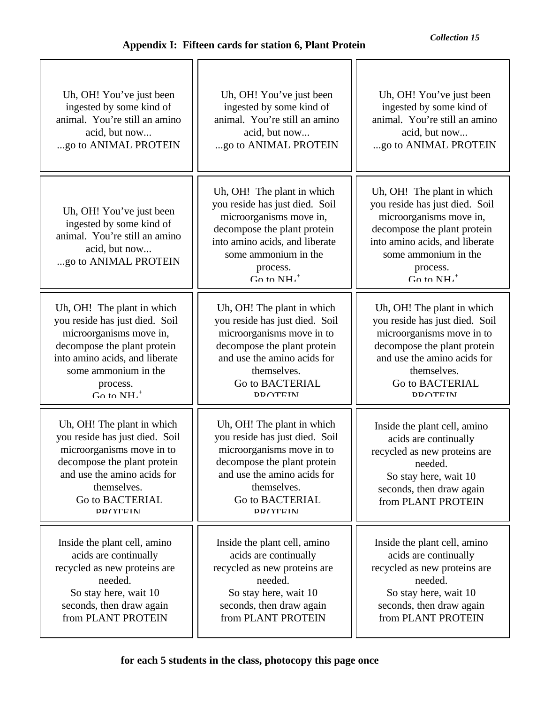| Uh, OH! You've just been                                                                                                                                                                                     | Uh, OH! You've just been                                                                                                                                                                                       | Uh, OH! You've just been                                                                                                                                                                                                    |
|--------------------------------------------------------------------------------------------------------------------------------------------------------------------------------------------------------------|----------------------------------------------------------------------------------------------------------------------------------------------------------------------------------------------------------------|-----------------------------------------------------------------------------------------------------------------------------------------------------------------------------------------------------------------------------|
| ingested by some kind of                                                                                                                                                                                     | ingested by some kind of                                                                                                                                                                                       | ingested by some kind of                                                                                                                                                                                                    |
| animal. You're still an amino                                                                                                                                                                                | animal. You're still an amino                                                                                                                                                                                  | animal. You're still an amino                                                                                                                                                                                               |
| acid, but now                                                                                                                                                                                                | acid, but now                                                                                                                                                                                                  | acid, but now                                                                                                                                                                                                               |
| go to ANIMAL PROTEIN                                                                                                                                                                                         | go to ANIMAL PROTEIN                                                                                                                                                                                           | go to ANIMAL PROTEIN                                                                                                                                                                                                        |
| Uh, OH! You've just been<br>ingested by some kind of<br>animal. You're still an amino<br>acid, but now<br>go to ANIMAL PROTEIN                                                                               | Uh, OH! The plant in which<br>you reside has just died. Soil<br>microorganisms move in,<br>decompose the plant protein<br>into amino acids, and liberate<br>some ammonium in the<br>process.<br>$G_0$ to $NH+$ | Uh, OH! The plant in which<br>you reside has just died. Soil<br>microorganisms move in,<br>decompose the plant protein<br>into amino acids, and liberate<br>some ammonium in the<br>process.<br>$G_0$ to $NH.$ <sup>+</sup> |
| Uh, OH! The plant in which                                                                                                                                                                                   | Uh, OH! The plant in which                                                                                                                                                                                     | Uh, OH! The plant in which                                                                                                                                                                                                  |
| you reside has just died. Soil                                                                                                                                                                               | you reside has just died. Soil                                                                                                                                                                                 | you reside has just died. Soil                                                                                                                                                                                              |
| microorganisms move in,                                                                                                                                                                                      | microorganisms move in to                                                                                                                                                                                      | microorganisms move in to                                                                                                                                                                                                   |
| decompose the plant protein                                                                                                                                                                                  | decompose the plant protein                                                                                                                                                                                    | decompose the plant protein                                                                                                                                                                                                 |
| into amino acids, and liberate                                                                                                                                                                               | and use the amino acids for                                                                                                                                                                                    | and use the amino acids for                                                                                                                                                                                                 |
| some ammonium in the                                                                                                                                                                                         | themselves.                                                                                                                                                                                                    | themselves.                                                                                                                                                                                                                 |
| process.                                                                                                                                                                                                     | Go to BACTERIAL                                                                                                                                                                                                | Go to BACTERIAL                                                                                                                                                                                                             |
| $G_0$ to $NH.+$                                                                                                                                                                                              | <b>DDATEIN</b>                                                                                                                                                                                                 | <b>DDATEIN</b>                                                                                                                                                                                                              |
| Uh, OH! The plant in which<br>you reside has just died. Soil<br>microorganisms move in to<br>decompose the plant protein<br>and use the amino acids for<br>themselves.<br>Go to BACTERIAL<br><b>DD OTEIN</b> | Uh, OH! The plant in which<br>you reside has just died. Soil<br>microorganisms move in to<br>decompose the plant protein<br>and use the amino acids for<br>themselves.<br>Go to BACTERIAL<br><b>DDOTEIN</b>    | Inside the plant cell, amino<br>acids are continually<br>recycled as new proteins are<br>needed.<br>So stay here, wait 10<br>seconds, then draw again<br>from PLANT PROTEIN                                                 |
| Inside the plant cell, amino                                                                                                                                                                                 | Inside the plant cell, amino                                                                                                                                                                                   | Inside the plant cell, amino                                                                                                                                                                                                |
| acids are continually                                                                                                                                                                                        | acids are continually                                                                                                                                                                                          | acids are continually                                                                                                                                                                                                       |
| recycled as new proteins are                                                                                                                                                                                 | recycled as new proteins are                                                                                                                                                                                   | recycled as new proteins are                                                                                                                                                                                                |
| needed.                                                                                                                                                                                                      | needed.                                                                                                                                                                                                        | needed.                                                                                                                                                                                                                     |
| So stay here, wait 10                                                                                                                                                                                        | So stay here, wait 10                                                                                                                                                                                          | So stay here, wait 10                                                                                                                                                                                                       |
| seconds, then draw again                                                                                                                                                                                     | seconds, then draw again                                                                                                                                                                                       | seconds, then draw again                                                                                                                                                                                                    |
| from PLANT PROTEIN                                                                                                                                                                                           | from PLANT PROTEIN                                                                                                                                                                                             | from PLANT PROTEIN                                                                                                                                                                                                          |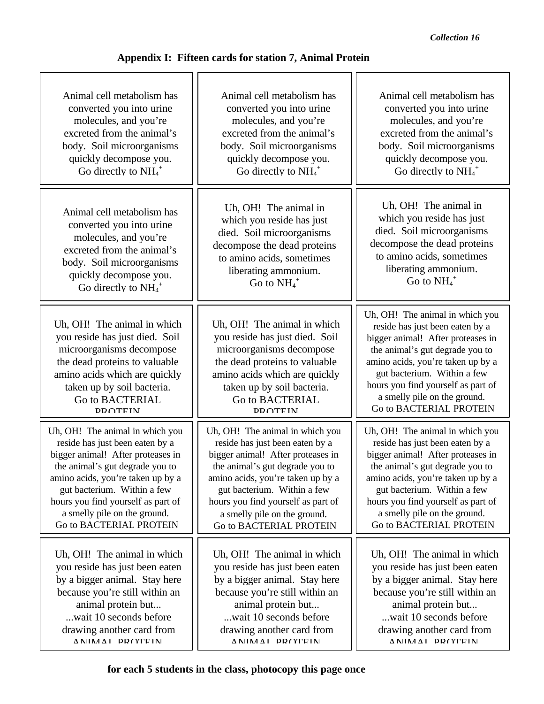| Animal cell metabolism has                                                                                                                                                                                                     | Animal cell metabolism has                                                                                                                                                                                                     | Animal cell metabolism has                                                                                                                                                                                                                                                                                      |
|--------------------------------------------------------------------------------------------------------------------------------------------------------------------------------------------------------------------------------|--------------------------------------------------------------------------------------------------------------------------------------------------------------------------------------------------------------------------------|-----------------------------------------------------------------------------------------------------------------------------------------------------------------------------------------------------------------------------------------------------------------------------------------------------------------|
| converted you into urine                                                                                                                                                                                                       | converted you into urine                                                                                                                                                                                                       | converted you into urine                                                                                                                                                                                                                                                                                        |
| molecules, and you're                                                                                                                                                                                                          | molecules, and you're                                                                                                                                                                                                          | molecules, and you're                                                                                                                                                                                                                                                                                           |
| excreted from the animal's                                                                                                                                                                                                     | excreted from the animal's                                                                                                                                                                                                     | excreted from the animal's                                                                                                                                                                                                                                                                                      |
| body. Soil microorganisms                                                                                                                                                                                                      | body. Soil microorganisms                                                                                                                                                                                                      | body. Soil microorganisms                                                                                                                                                                                                                                                                                       |
| quickly decompose you.                                                                                                                                                                                                         | quickly decompose you.                                                                                                                                                                                                         | quickly decompose you.                                                                                                                                                                                                                                                                                          |
| Go directly to $NH_4$ <sup>+</sup>                                                                                                                                                                                             | Go directly to $NH_4$ <sup>+</sup>                                                                                                                                                                                             | Go directly to $NH_4$ <sup>+</sup>                                                                                                                                                                                                                                                                              |
| Animal cell metabolism has                                                                                                                                                                                                     | Uh, OH! The animal in                                                                                                                                                                                                          | Uh, OH! The animal in                                                                                                                                                                                                                                                                                           |
| converted you into urine                                                                                                                                                                                                       | which you reside has just                                                                                                                                                                                                      | which you reside has just                                                                                                                                                                                                                                                                                       |
| molecules, and you're                                                                                                                                                                                                          | died. Soil microorganisms                                                                                                                                                                                                      | died. Soil microorganisms                                                                                                                                                                                                                                                                                       |
| excreted from the animal's                                                                                                                                                                                                     | decompose the dead proteins                                                                                                                                                                                                    | decompose the dead proteins                                                                                                                                                                                                                                                                                     |
| body. Soil microorganisms                                                                                                                                                                                                      | to amino acids, sometimes                                                                                                                                                                                                      | to amino acids, sometimes                                                                                                                                                                                                                                                                                       |
| quickly decompose you.                                                                                                                                                                                                         | liberating ammonium.                                                                                                                                                                                                           | liberating ammonium.                                                                                                                                                                                                                                                                                            |
| Go directly to $NH_4$ <sup>+</sup>                                                                                                                                                                                             | Go to $NH_4$ <sup>+</sup>                                                                                                                                                                                                      | Go to $NH_4$ <sup>+</sup>                                                                                                                                                                                                                                                                                       |
| Uh, OH! The animal in which<br>you reside has just died. Soil<br>microorganisms decompose<br>the dead proteins to valuable<br>amino acids which are quickly<br>taken up by soil bacteria.<br>Go to BACTERIAL<br><b>PROTEIN</b> | Uh, OH! The animal in which<br>you reside has just died. Soil<br>microorganisms decompose<br>the dead proteins to valuable<br>amino acids which are quickly<br>taken up by soil bacteria.<br>Go to BACTERIAL<br><b>DRATEIN</b> | Uh, OH! The animal in which you<br>reside has just been eaten by a<br>bigger animal! After proteases in<br>the animal's gut degrade you to<br>amino acids, you're taken up by a<br>gut bacterium. Within a few<br>hours you find yourself as part of<br>a smelly pile on the ground.<br>Go to BACTERIAL PROTEIN |
| Uh, OH! The animal in which you                                                                                                                                                                                                | Uh, OH! The animal in which you                                                                                                                                                                                                | Uh, OH! The animal in which you                                                                                                                                                                                                                                                                                 |
| reside has just been eaten by a                                                                                                                                                                                                | reside has just been eaten by a                                                                                                                                                                                                | reside has just been eaten by a                                                                                                                                                                                                                                                                                 |
| bigger animal! After proteases in                                                                                                                                                                                              | bigger animal! After proteases in                                                                                                                                                                                              | bigger animal! After proteases in                                                                                                                                                                                                                                                                               |
| the animal's gut degrade you to                                                                                                                                                                                                | the animal's gut degrade you to                                                                                                                                                                                                | the animal's gut degrade you to                                                                                                                                                                                                                                                                                 |
| amino acids, you're taken up by a                                                                                                                                                                                              | amino acids, you're taken up by a                                                                                                                                                                                              | amino acids, you're taken up by a                                                                                                                                                                                                                                                                               |
| gut bacterium. Within a few                                                                                                                                                                                                    | gut bacterium. Within a few                                                                                                                                                                                                    | gut bacterium. Within a few                                                                                                                                                                                                                                                                                     |
| hours you find yourself as part of                                                                                                                                                                                             | hours you find yourself as part of                                                                                                                                                                                             | hours you find yourself as part of                                                                                                                                                                                                                                                                              |
| a smelly pile on the ground.                                                                                                                                                                                                   | a smelly pile on the ground.                                                                                                                                                                                                   | a smelly pile on the ground.                                                                                                                                                                                                                                                                                    |
| Go to BACTERIAL PROTEIN                                                                                                                                                                                                        | Go to BACTERIAL PROTEIN                                                                                                                                                                                                        | Go to BACTERIAL PROTEIN                                                                                                                                                                                                                                                                                         |
| Uh, OH! The animal in which                                                                                                                                                                                                    | Uh, OH! The animal in which                                                                                                                                                                                                    | Uh, OH! The animal in which                                                                                                                                                                                                                                                                                     |
| you reside has just been eaten                                                                                                                                                                                                 | you reside has just been eaten                                                                                                                                                                                                 | you reside has just been eaten                                                                                                                                                                                                                                                                                  |
| by a bigger animal. Stay here                                                                                                                                                                                                  | by a bigger animal. Stay here                                                                                                                                                                                                  | by a bigger animal. Stay here                                                                                                                                                                                                                                                                                   |
| because you're still within an                                                                                                                                                                                                 | because you're still within an                                                                                                                                                                                                 | because you're still within an                                                                                                                                                                                                                                                                                  |
| animal protein but                                                                                                                                                                                                             | animal protein but                                                                                                                                                                                                             | animal protein but                                                                                                                                                                                                                                                                                              |
| wait 10 seconds before                                                                                                                                                                                                         | wait 10 seconds before                                                                                                                                                                                                         | wait 10 seconds before                                                                                                                                                                                                                                                                                          |
| drawing another card from                                                                                                                                                                                                      | drawing another card from                                                                                                                                                                                                      | drawing another card from                                                                                                                                                                                                                                                                                       |
| ANIMAI DROTEIN                                                                                                                                                                                                                 | <b>ANIMAI DROTEIN</b>                                                                                                                                                                                                          | <b>ANIMAI DROTEIN</b>                                                                                                                                                                                                                                                                                           |

# **Appendix I: Fifteen cards for station 7, Animal Protein**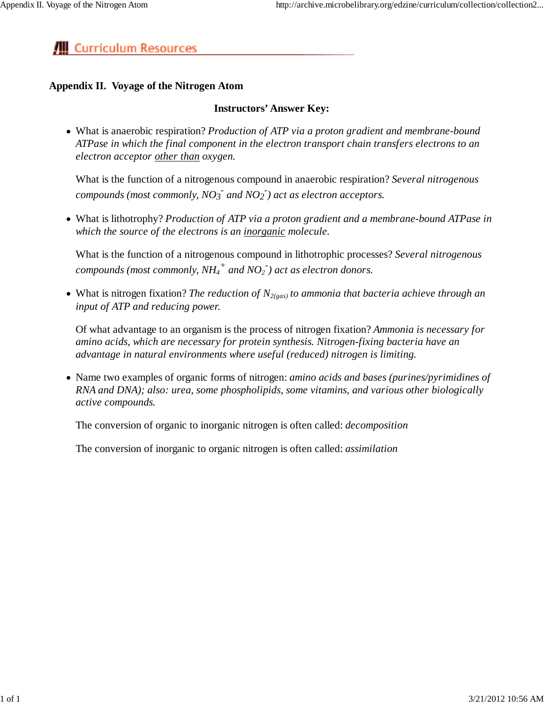# **III** Curriculum Resources

# **Appendix II. Voyage of the Nitrogen Atom**

# **Instructors' Answer Key:**

What is anaerobic respiration? *Production of ATP via a proton gradient and membrane-bound ATPase in which the final component in the electron transport chain transfers electrons to an electron acceptor other than oxygen.*

What is the function of a nitrogenous compound in anaerobic respiration? *Several nitrogenous*  $\alpha$  *compounds (most commonly, NO<sub>3</sub><sup>-</sup> and NO<sub>2</sub><sup>-</sup>) act as electron acceptors.* 

What is lithotrophy? *Production of ATP via a proton gradient and a membrane-bound ATPase in which the source of the electrons is an inorganic molecule.*

What is the function of a nitrogenous compound in lithotrophic processes? *Several nitrogenous compounds (most commonly, NH4 + and NO2 - ) act as electron donors.*

• What is nitrogen fixation? *The reduction of N*<sub>2(gas)</sub> *to ammonia that bacteria achieve through an input of ATP and reducing power.*

Of what advantage to an organism is the process of nitrogen fixation? *Ammonia is necessary for amino acids, which are necessary for protein synthesis. Nitrogen-fixing bacteria have an advantage in natural environments where useful (reduced) nitrogen is limiting.*

Name two examples of organic forms of nitrogen: *amino acids and bases (purines/pyrimidines of RNA and DNA); also: urea, some phospholipids, some vitamins, and various other biologically active compounds.*

The conversion of organic to inorganic nitrogen is often called: *decomposition*

The conversion of inorganic to organic nitrogen is often called: *assimilation*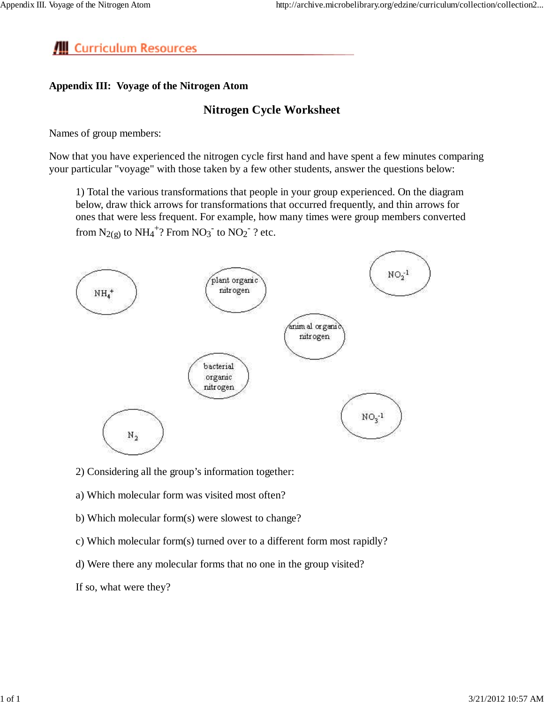# **III** Curriculum Resources

# **Appendix III: Voyage of the Nitrogen Atom**

# **Nitrogen Cycle Worksheet**

Names of group members:

Now that you have experienced the nitrogen cycle first hand and have spent a few minutes comparing your particular "voyage" with those taken by a few other students, answer the questions below:

1) Total the various transformations that people in your group experienced. On the diagram below, draw thick arrows for transformations that occurred frequently, and thin arrows for ones that were less frequent. For example, how many times were group members converted from  $N_{2(g)}$  to  $NH_4^+$ ? From  $NO_3^-$  to  $NO_2^-$  ? etc.



- 2) Considering all the group's information together:
- a) Which molecular form was visited most often?
- b) Which molecular form(s) were slowest to change?
- c) Which molecular form(s) turned over to a different form most rapidly?
- d) Were there any molecular forms that no one in the group visited?

If so, what were they?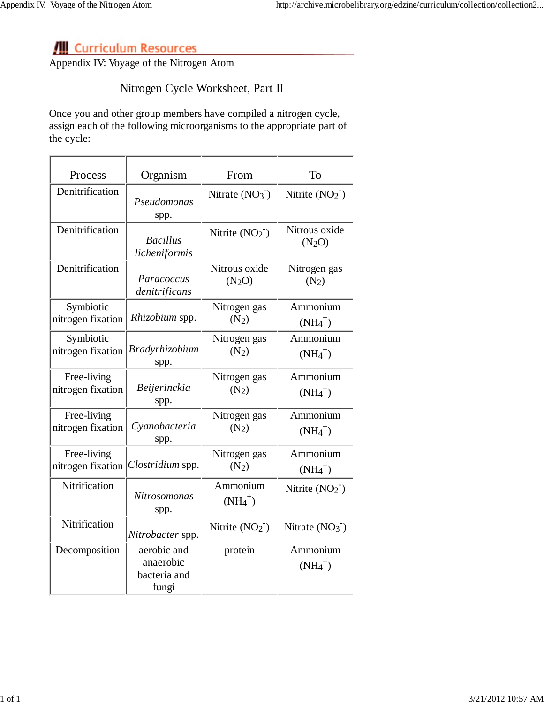# **Curriculum Resources**

Appendix IV: Voyage of the Nitrogen Atom

# Nitrogen Cycle Worksheet, Part II

Once you and other group members have compiled a nitrogen cycle, assign each of the following microorganisms to the appropriate part of the cycle:

| Process           | Organism                                          | From                   | To                                  |
|-------------------|---------------------------------------------------|------------------------|-------------------------------------|
| Denitrification   | Pseudomonas<br>spp.                               | Nitrate $(NO3^-)$      | Nitrite $(NO2)$                     |
| Denitrification   | <b>Bacillus</b><br>licheniformis                  | Nitrite $(NO2)$        | Nitrous oxide<br>(N <sub>2</sub> O) |
| Denitrification   | Paracoccus                                        | Nitrous oxide          | Nitrogen gas                        |
|                   | denitrificans                                     | (N <sub>2</sub> O)     | $(N_2)$                             |
| Symbiotic         | Rhizobium spp.                                    | Nitrogen gas           | Ammonium                            |
| nitrogen fixation |                                                   | $(N_2)$                | $(NH_4^+)$                          |
| Symbiotic         | <b>Bradyrhizobium</b>                             | Nitrogen gas           | Ammonium                            |
| nitrogen fixation | spp.                                              | $(N_2)$                | $(NH_4^+)$                          |
| Free-living       | Beijerinckia                                      | Nitrogen gas           | Ammonium                            |
| nitrogen fixation | spp.                                              | $(N_2)$                | $(NH4+)$                            |
| Free-living       | Cyanobacteria                                     | Nitrogen gas           | Ammonium                            |
| nitrogen fixation | spp.                                              | $(N_2)$                | $(NH_4^+)$                          |
| Free-living       | Clostridium spp.                                  | Nitrogen gas           | Ammonium                            |
| nitrogen fixation |                                                   | $(N_2)$                | $(NH4+)$                            |
| Nitrification     | <b>Nitrosomonas</b><br>spp.                       | Ammonium<br>$(NH_4^+)$ | Nitrite $(NO2)$                     |
| Nitrification     | Nitrobacter spp.                                  | Nitrite $(NO2-)$       | Nitrate $(NO3)$                     |
| Decomposition     | aerobic and<br>anaerobic<br>bacteria and<br>fungi | protein                | Ammonium<br>$(NH4+)$                |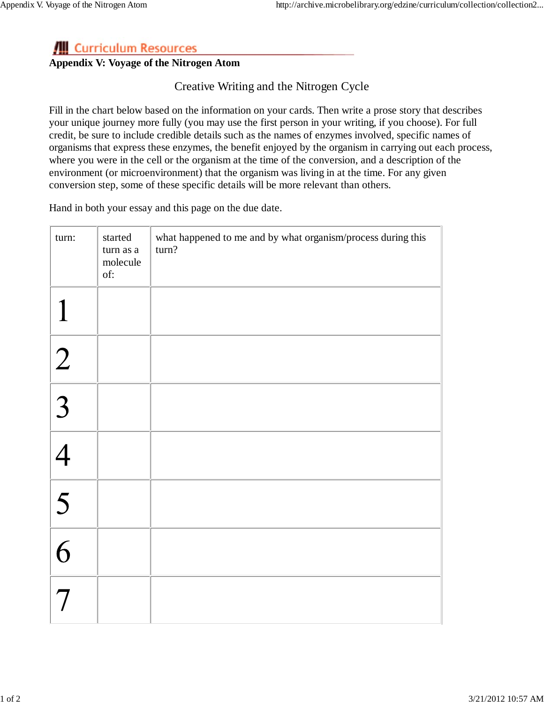# **/ Curriculum Resources**

# **Appendix V: Voyage of the Nitrogen Atom**

Creative Writing and the Nitrogen Cycle

Fill in the chart below based on the information on your cards. Then write a prose story that describes your unique journey more fully (you may use the first person in your writing, if you choose). For full credit, be sure to include credible details such as the names of enzymes involved, specific names of organisms that express these enzymes, the benefit enjoyed by the organism in carrying out each process, where you were in the cell or the organism at the time of the conversion, and a description of the environment (or microenvironment) that the organism was living in at the time. For any given conversion step, some of these specific details will be more relevant than others.

Hand in both your essay and this page on the due date.

| turn:          | started<br>turn as a<br>molecule<br>of: | what happened to me and by what organism/process during this<br>turn? |
|----------------|-----------------------------------------|-----------------------------------------------------------------------|
|                |                                         |                                                                       |
| $\overline{2}$ |                                         |                                                                       |
| $\overline{3}$ |                                         |                                                                       |
|                |                                         |                                                                       |
| $\sqrt{5}$     |                                         |                                                                       |
| $\overline{6}$ |                                         |                                                                       |
|                |                                         |                                                                       |